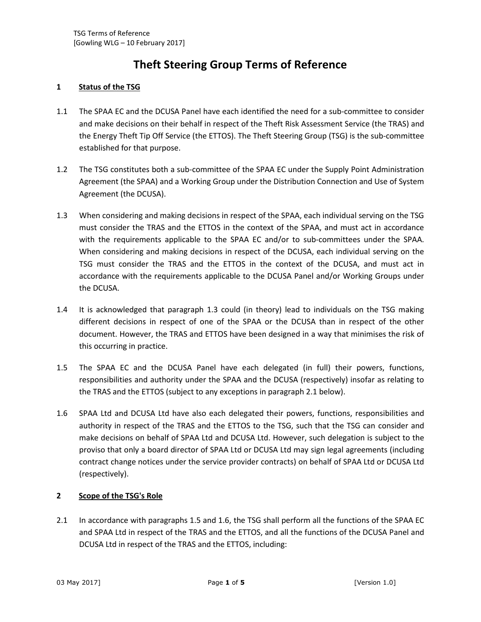# **Theft Steering Group Terms of Reference**

## **1 Status of the TSG**

- 1.1 The SPAA EC and the DCUSA Panel have each identified the need for a sub-committee to consider and make decisions on their behalf in respect of the Theft Risk Assessment Service (the TRAS) and the Energy Theft Tip Off Service (the ETTOS). The Theft Steering Group (TSG) is the sub-committee established for that purpose.
- 1.2 The TSG constitutes both a sub-committee of the SPAA EC under the Supply Point Administration Agreement (the SPAA) and a Working Group under the Distribution Connection and Use of System Agreement (the DCUSA).
- 1.3 When considering and making decisions in respect of the SPAA, each individual serving on the TSG must consider the TRAS and the ETTOS in the context of the SPAA, and must act in accordance with the requirements applicable to the SPAA EC and/or to sub-committees under the SPAA. When considering and making decisions in respect of the DCUSA, each individual serving on the TSG must consider the TRAS and the ETTOS in the context of the DCUSA, and must act in accordance with the requirements applicable to the DCUSA Panel and/or Working Groups under the DCUSA.
- 1.4 It is acknowledged that paragraph 1.3 could (in theory) lead to individuals on the TSG making different decisions in respect of one of the SPAA or the DCUSA than in respect of the other document. However, the TRAS and ETTOS have been designed in a way that minimises the risk of this occurring in practice.
- 1.5 The SPAA EC and the DCUSA Panel have each delegated (in full) their powers, functions, responsibilities and authority under the SPAA and the DCUSA (respectively) insofar as relating to the TRAS and the ETTOS (subject to any exceptions in paragraph 2.1 below).
- 1.6 SPAA Ltd and DCUSA Ltd have also each delegated their powers, functions, responsibilities and authority in respect of the TRAS and the ETTOS to the TSG, such that the TSG can consider and make decisions on behalf of SPAA Ltd and DCUSA Ltd. However, such delegation is subject to the proviso that only a board director of SPAA Ltd or DCUSA Ltd may sign legal agreements (including contract change notices under the service provider contracts) on behalf of SPAA Ltd or DCUSA Ltd (respectively).

## **2 Scope of the TSG's Role**

2.1 In accordance with paragraphs 1.5 and 1.6, the TSG shall perform all the functions of the SPAA EC and SPAA Ltd in respect of the TRAS and the ETTOS, and all the functions of the DCUSA Panel and DCUSA Ltd in respect of the TRAS and the ETTOS, including: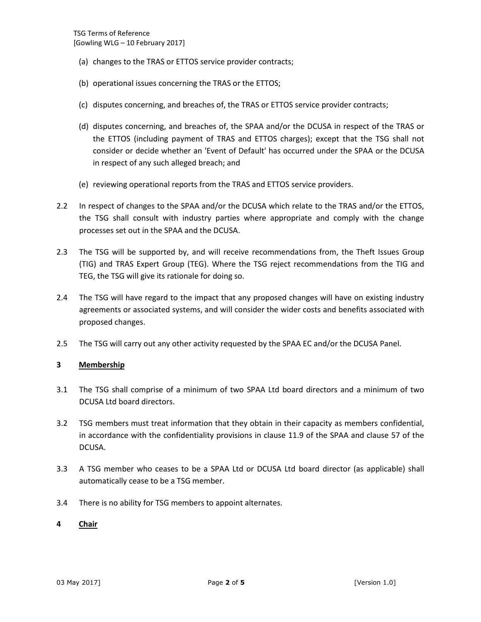- (a) changes to the TRAS or ETTOS service provider contracts;
- (b) operational issues concerning the TRAS or the ETTOS;
- (c) disputes concerning, and breaches of, the TRAS or ETTOS service provider contracts;
- (d) disputes concerning, and breaches of, the SPAA and/or the DCUSA in respect of the TRAS or the ETTOS (including payment of TRAS and ETTOS charges); except that the TSG shall not consider or decide whether an 'Event of Default' has occurred under the SPAA or the DCUSA in respect of any such alleged breach; and
- (e) reviewing operational reports from the TRAS and ETTOS service providers.
- 2.2 In respect of changes to the SPAA and/or the DCUSA which relate to the TRAS and/or the ETTOS, the TSG shall consult with industry parties where appropriate and comply with the change processes set out in the SPAA and the DCUSA.
- 2.3 The TSG will be supported by, and will receive recommendations from, the Theft Issues Group (TIG) and TRAS Expert Group (TEG). Where the TSG reject recommendations from the TIG and TEG, the TSG will give its rationale for doing so.
- 2.4 The TSG will have regard to the impact that any proposed changes will have on existing industry agreements or associated systems, and will consider the wider costs and benefits associated with proposed changes.
- 2.5 The TSG will carry out any other activity requested by the SPAA EC and/or the DCUSA Panel.

#### **3 Membership**

- 3.1 The TSG shall comprise of a minimum of two SPAA Ltd board directors and a minimum of two DCUSA Ltd board directors.
- 3.2 TSG members must treat information that they obtain in their capacity as members confidential, in accordance with the confidentiality provisions in clause 11.9 of the SPAA and clause 57 of the DCUSA.
- 3.3 A TSG member who ceases to be a SPAA Ltd or DCUSA Ltd board director (as applicable) shall automatically cease to be a TSG member.
- 3.4 There is no ability for TSG members to appoint alternates.

#### **4 Chair**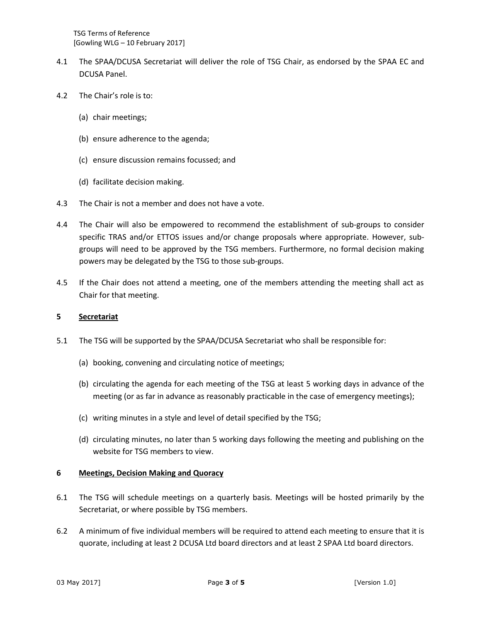- 4.1 The SPAA/DCUSA Secretariat will deliver the role of TSG Chair, as endorsed by the SPAA EC and DCUSA Panel.
- 4.2 The Chair's role is to:
	- (a) chair meetings;
	- (b) ensure adherence to the agenda;
	- (c) ensure discussion remains focussed; and
	- (d) facilitate decision making.
- 4.3 The Chair is not a member and does not have a vote.
- 4.4 The Chair will also be empowered to recommend the establishment of sub-groups to consider specific TRAS and/or ETTOS issues and/or change proposals where appropriate. However, subgroups will need to be approved by the TSG members. Furthermore, no formal decision making powers may be delegated by the TSG to those sub-groups.
- 4.5 If the Chair does not attend a meeting, one of the members attending the meeting shall act as Chair for that meeting.

## **5 Secretariat**

- 5.1 The TSG will be supported by the SPAA/DCUSA Secretariat who shall be responsible for:
	- (a) booking, convening and circulating notice of meetings;
	- (b) circulating the agenda for each meeting of the TSG at least 5 working days in advance of the meeting (or as far in advance as reasonably practicable in the case of emergency meetings);
	- (c) writing minutes in a style and level of detail specified by the TSG;
	- (d) circulating minutes, no later than 5 working days following the meeting and publishing on the website for TSG members to view.

## **6 Meetings, Decision Making and Quoracy**

- 6.1 The TSG will schedule meetings on a quarterly basis. Meetings will be hosted primarily by the Secretariat, or where possible by TSG members.
- 6.2 A minimum of five individual members will be required to attend each meeting to ensure that it is quorate, including at least 2 DCUSA Ltd board directors and at least 2 SPAA Ltd board directors.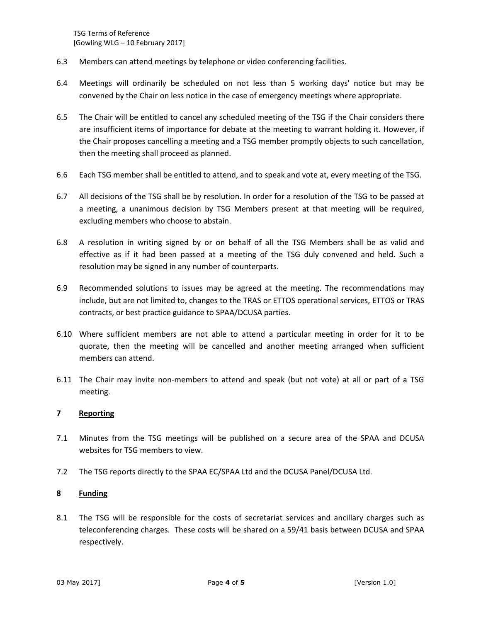- 6.3 Members can attend meetings by telephone or video conferencing facilities.
- 6.4 Meetings will ordinarily be scheduled on not less than 5 working days' notice but may be convened by the Chair on less notice in the case of emergency meetings where appropriate.
- 6.5 The Chair will be entitled to cancel any scheduled meeting of the TSG if the Chair considers there are insufficient items of importance for debate at the meeting to warrant holding it. However, if the Chair proposes cancelling a meeting and a TSG member promptly objects to such cancellation, then the meeting shall proceed as planned.
- 6.6 Each TSG member shall be entitled to attend, and to speak and vote at, every meeting of the TSG.
- 6.7 All decisions of the TSG shall be by resolution. In order for a resolution of the TSG to be passed at a meeting, a unanimous decision by TSG Members present at that meeting will be required, excluding members who choose to abstain.
- 6.8 A resolution in writing signed by or on behalf of all the TSG Members shall be as valid and effective as if it had been passed at a meeting of the TSG duly convened and held. Such a resolution may be signed in any number of counterparts.
- 6.9 Recommended solutions to issues may be agreed at the meeting. The recommendations may include, but are not limited to, changes to the TRAS or ETTOS operational services, ETTOS or TRAS contracts, or best practice guidance to SPAA/DCUSA parties.
- 6.10 Where sufficient members are not able to attend a particular meeting in order for it to be quorate, then the meeting will be cancelled and another meeting arranged when sufficient members can attend.
- 6.11 The Chair may invite non-members to attend and speak (but not vote) at all or part of a TSG meeting.

## **7 Reporting**

- 7.1 Minutes from the TSG meetings will be published on a secure area of the SPAA and DCUSA websites for TSG members to view.
- 7.2 The TSG reports directly to the SPAA EC/SPAA Ltd and the DCUSA Panel/DCUSA Ltd.

### **8 Funding**

8.1 The TSG will be responsible for the costs of secretariat services and ancillary charges such as teleconferencing charges. These costs will be shared on a 59/41 basis between DCUSA and SPAA respectively.